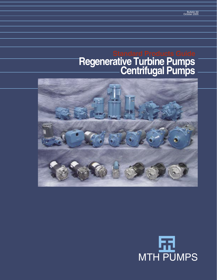# **Regenerative Turbine Pumps Centrifugal Pumps Standard Products Guide**



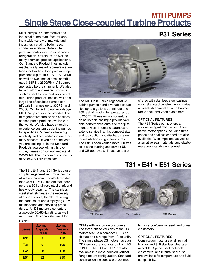# **MTH PUMPS Single Stage Close-coupled Turbine Products**

MTH Pumps is a commercial and industrial pump manufacturer serving a wide variety of markets and industries including boiler feed, condensate return, chillers / temperature controllers, water services, refrigeration, petroleum, as well as many chemical process applications. Our Standard Product lines include mechanically sealed regenerative turbines for low flow, high pressure, applications (up to 1000PSI / 150GPM) as well as two lines of small centrifugals (155PSI / 230GPM). All pumps are tested before shipment. We also have custom engineered products such as sealless canned versions of our turbine product lines as well as a large line of sealless canned centrifugals in ranges up to 300PSI and 2000GPM. In fact, to our knowledge, MTH Pumps offers the broadest line of regenerative turbine and sealless canned pump products available in the world. We also have extensive experience custom designing pumps for specific OEM needs where high reliability and cost reduction are a primary concern. If you don't find what you are looking for in the Standard Products you see within this brochure, please consult our website at WWW.MTHPumps.com or contact us at Sales@MTHPumps.com.



The MTH P31 Series regenerative turbine pumps handle variable capacities up to 5 gallons per minute and 250 feet of head at temperatures up to 250°F. These units also feature an adjustable casing to provide variable performance output or readjustment of worn internal clearances to extend service life. It's compact size and top suction and discharge allow for installation in tight enclosures. The P31's open vented motor utilizes solid state starting and carries UL and CE approvals. These units are

offered with stainless steel casings only. Standard construction includes a nickel-silver impeller, a carbon/ceramic seal, and Viton elastomers.

#### OPTIONAL FEATURES

The P31 Series pump offers an optional integral relief valve. Alternative motor options including three phase and sealless canned are also available. W88 impellers, as well as, alternative seal materials, and elastomers are available on request.

The T31, E41, and E51 Series closecoupled regenerative turbine pumps utilize our custom manufactured dual face 3450RPM D3 motors that incorporate a 304 stainless steel shaft and heavy-duty bearing. The stainless steel shaft eliminates the necessity of a shaft sleeve, thereby reducing the parts count and simplifying OEM maintenance and servicing procedures. All D3 motors also feature a two-pole 50//60Hz rating, as well as UL and CE approvals useful for

### RANGE

| <b>Series</b>   | Maximum<br>Capacity<br>(GPM) | Maximum<br><b>Pressure</b><br>(PSI) |
|-----------------|------------------------------|-------------------------------------|
| P31             | 5                            | 110                                 |
| <b>T31</b>      | g                            | 100                                 |
| E41             | 20                           | 150                                 |
| E <sub>51</sub> | 32                           | 250                                 |



OEM's with worldwide customers. The three-phase versions of the D3 motors feature a compact TEFC enclosure and a range from 1/3 to 3HP. The single phase D3 motors have an ODP enclosure and a range from 1/3 to 2HP. The E41 and E51 are also available in a close-coupled vertical flange mount configuration. Standard construction includes a bronze impeller, a carbon/ceramic seal, and buna elastomers.

#### OPTIONAL FEATURES

Construction materials of all iron, all bronze, and 316 stainless steel are available. Special seal materials, elastomers, and internal seal flush are available for temperature and fluid compatibility.

### **T31 • E41 • E51 Series**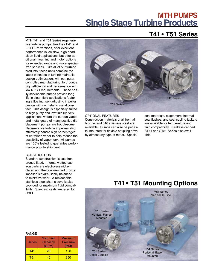# **MTH PUMPS Single Stage Turbine Products**

### **T41 • T51 Series**

MTH T41 and T51 Series regenerative turbine pumps, like their E41 and E51 OEM versions, offer excellent performance in low flow, high head, clean fluid applications, but offer additional mounting and motor options for extended range and more specialized services. Like all of our turbine products, these units combine the latest concepts in turbine hydraulic design optimization, with computer controlled manufacturing, to produce high efficiency and performance with low NPSH requirements. These easily serviceable pumps provide long life in clean fluid applications featuring a floating, self-adjusting impeller design with no metal to metal contact. This design is especially suited to high purity and low fluid lubricity applications where the carbon vanes and metal gears of many positive displacement pumps are troublesome. Regenerative turbine impellers also effectively handle high percentages of entrained vapor to help reduce the possibility of vapor lock. All pumps are 100% tested to guarantee performance prior to shipment.

#### **CONSTRUCTION**

Standard construction is cast iron bronze fitted. Internal wetted cast iron parts are electroless nickelplated and the double-sided bronze impeller is hydraulically balanced to minimize wear. A replaceable stainless steel shaft sleeve is also provided for maximum fluid compatibility. Standard seals are rated for 230°F.



### OPTIONAL FEATURES

Construction materials of all iron, all bronze, and 316 stainless steel are available. Pumps can also be pedestal mounted for flexible coupling drive by almost any type of motor. Special

seal materials, elastomers, internal seal flushes, and seal cooling jackets are available for temperature and fluid compatibility. Sealless canned ST41 and ST51 Series also available.

### **T41 • T51 Mounting Options**



#### RANGE

| <b>Series</b> | <b>Maximum</b><br>Capacity<br>(GPM) | Maximum<br><b>Pressure</b><br>(PSI) |
|---------------|-------------------------------------|-------------------------------------|
| T41           | 20                                  | 150                                 |
| T51           | 40                                  | 250                                 |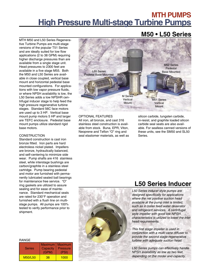## **MTH PUMPS High Pressure Multi-stage Turbine Pumps**

MTH M50 and L50 Series Regenerative Turbine Pumps are multi-stage versions of the popular T51 Series and are ideally suited for low flow applications (2 to 38 GPM) requiring higher discharge pressures than are available from a single stage unit. Head pressures to 2300 feet are available in a five stage M55. Both the M50 and L50 Series are available in close coupled, vertical base mount and horizontal pedestal base mounted configurations. For applications with low vapor pressure fluids, or where NPSH availability is low, the L50 Series adds a low NPSHR centrifugal inducer stage to help feed the high pressure regenerative turbine stages. Standard 56C face motors are used up to 3 HP. Vertical base mount pump motors 5 HP and larger are TEFC enclosure. Pedestal base mount pumps utilize standard rigid base motors.

### **CONSTRUCTION**

Standard construction is cast iron bronze fitted. Iron parts are hard electroless nickel plated. Impellers are bronze, hydraulically balanced, and self-centering to minimize side wear. Pump shafts are 416 stainless steel, while interstage bushings are carbon/graphite in a stainless steel cartridge. Pump bearing pedestal and motor are furnished with permanently lubricated sealed ball bearings for maintenance free service. "O" ring gaskets are utilized to assure sealing and for ease of maintenance. Standard mechanical seals are rated for 230°F operation and furnished with a flush line on multistage pumps. All pumps are 100% tested to verify performance prior to shipment.

#### RANGE

| <b>Series</b>  | Maximum<br>Capacity<br>(GPM) | <b>Maximum</b><br><b>Pressure</b><br>(PSI) |
|----------------|------------------------------|--------------------------------------------|
| <b>M50/L50</b> | 38                           | 1000                                       |



### OPTIONAL FEATURES

All iron, all bronze, and cast 316 stainless steel construction is available from stock. Buna, EPR, Viton, Neoprene and Teflon "O" ring and seal elastomer materials, as well as silicon carbide, tungsten carbide, ni-resist, and graphite loaded silicon carbide seal seats are also available. For sealless canned versions of these units, see the SM50 and SL50 Series.

### **L50 Series Inducer**

L50 Series inducer style pumps are designed specifically for applications where the net positive suction head available at the pump inlet is limited, such as in boiler feed water deaerator and refrigerant services. A centrifugal style impeller with good low NPSH characteristics is utilized to lower the inlet head requirements.

This first stage impeller is used in conjunction with a multi-vane diffuser to provide the second stage regenerative turbine with adequate suction head.

L50 Series pumps can effectively handle NPSH availability as low as two feet, depending on the model and capacity.

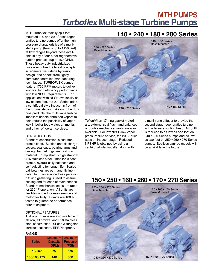# **MTH PUMPS Turboflex Multi-stage Turbine Pumps**

mounted 100 and 200 Series regenerative turbine pumps offer the high pressure characteristics of a multistage pump (heads up to 1150 feet) at flow ranges beyond those available in any of our other regenerative turbine products (up to 150 GPM). These heavy duty industrialized units also utilize the latest concepts in regenerative turbine hydraulic design, and benefit from tightly computer controlled manufacturing techniques. TURBOFLEX pumps feature 1750 RPM motors to deliver long life, high efficiency performance with low NPSH requirements. For applications with NPSH availability as low as one foot, the 200 Series adds a centrifugal style inducer in front of the turbine stages. Like our other turbine products, the multi-vane turbine impellers handle entrained vapors to help reduce the possibility of vapor lock in boiler feed water, ammonia, and other refrigerant services.

### **CONSTRUCTION**

Standard construction is cast iron bronze fitted. Suction and discharge covers, seal cups, bearing arms and casing channel rings are cast iron material. Pump shaft is high strength 416 stainless steel. Impeller is cast bronze, hydraulically balanced and self-adjusting for longer life. Sealed ball bearings are permanently lubricated for maintenance free operation. "O" ring gasketing is used to assure sealing and for ease of maintenance. Standard mechanical seals are rated for 230° F operation. All units are flexible-coupled for easy service and motor flexibility. Pumps are 100% tested to guarantee performance prior to shipment.

### OPTIONAL FEATURES

Turboflex pumps are also available in all iron, all bronze, and 316 stainless steel construction. Silicon & tungsten carbide seal seats, EPR/Neoprene/

#### RANGE

| <b>Series</b> | <b>Maximum</b><br>Capacity<br>(GPM) | Maximum<br><b>Pressure</b><br>(PSI) |
|---------------|-------------------------------------|-------------------------------------|
| 140/180       | 50                                  | 350                                 |
| 150/160/170   | 140                                 | 500                                 |

### **MTH Turboflex radially split foot 140 • 240 • 180 • 280 Series**



Teflon/Viton "O" ring gasket materials, external seal flush, and balanced or double mechanical seals are also available. For low NPSH/low vapor pressure fluid service, the 200 Series adds an inducer stage. Reduced NPSHR is obtained by using a centrifugal inlet impeller along with

a multi-vane diffuser to provide the second stage regenerative turbine with adequate suction head. NPSHR is reduced to as low as one foot on 240 • 280 Series pumps and as low as two feet on 250 • 260 • 270 Series pumps. Sealless canned models will be available in the future.

### **150 • 250 • 160 • 260 • 170 • 270 Series**

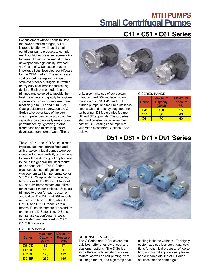# **MTH PUMPS Small Centrifugal Pumps**

### **C41 • C51 • C61 Series**

For customers whose needs fall into the lower pressure ranges, MTH is proud to offer two lines of small centrifugal pump products to complement our higher pressure regenerative turbines. Towards this end MTH has developed the high quality, low cost 4", 5", and 6" C Series, semi-open impeller, all stainless steel centrifugals for the OEM market. These units are cost competitive against stamped stainless steel centrifugals, but with a heavy duty cast impeller and casing design. Each pump model is pretrimmed and selected to provide the best pressure and capacity for a given impeller and motor horsepower combination (up to 3HP and 100GPM). Casing adjustment screws on the C Series take advantage of the semiopen impeller design by providing the capability to occasionally renew pump performance by tightening internal clearances and minimizing losses developed from normal wear. These

The 5", 6", 7", and 9" D Series, closed impeller, cast iron bronze fitted and all bronze centrifugal pumps were designed with more flexibility and options to cover the wide range of applications found in the general industrial market up to about 25HP. The D Series close-coupled centrifugal pumps provide economical high performance for 5 to 230 GPM applications requiring heads from 10 to 360 feet. Standard 56J and JM frame motors are utilized for increased motor options. Units are trimmed to order for each customer application. The D51 and D61 models are cast iron bronze fitted, while the D71DE and D91EF models are all bronze. Buna elastomers are standard on the entire D Series line. D Series pumps use carbon/ceramic seals as standard and are rated for 230°F (110°C) operation.

#### D SERIES RANGE

| <b>Series</b>                  | <b>Maximum</b><br>Capacity<br>(GPM) | <b>Maximum</b><br><b>Pressure</b><br>(PSI) |
|--------------------------------|-------------------------------------|--------------------------------------------|
| D <sub>51</sub> C <sub>D</sub> | 83                                  | 47                                         |
| D61DE                          | 110                                 | 63                                         |
| D71DE                          | 175                                 | 112                                        |
| D91EF                          | 230                                 | 155                                        |



units also make use of our custom manufactured D3 dual face motors found on our T31, E41, and E51 turbine pumps, and feature a stainless steel shaft and a heavy duty front motor bearing. D3 Motors also feature UL and CE approvals. The C Series standard construction is investment cast 316 SS casings and impellers with Viton elastomers. Options - See below.

### C SERIES RANGE

| <b>Series</b>   | <b>Maximum</b><br>Capacity<br>(GPM) | <b>Maximum</b><br><b>Pressure</b><br>(PSI) |
|-----------------|-------------------------------------|--------------------------------------------|
| C41             | 100                                 | 25                                         |
| C <sub>51</sub> | 80                                  | 40                                         |
| C61             |                                     |                                            |

### **D51 • D61 • D71 • D91 Series**



### OPTIONAL FEATURES

The C Series and D Series centrifugals both offer a variety of seal and elastomer options. The D Series also offers a wide variety of optional motors, as well as self-priming, vertical flange mount, and high temp seal cooling jacketed variants. For highly customized sealless centrifugal solutions for chemical process, refrigeration, and hot oil applications, please see our complete line of H Series sealless canned centrifugals.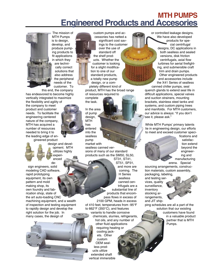# **MTH PUMPS Engineered Products and Accesories**



The mission of MTH Pumps is to design, develop, and produce pumping products to fit applications in which they are technically correct solutions that also address the peripheral needs of the customer. To

this end, the company has endeavored to become highly vertically integrated to maximize

the flexibility and agility of the company to meet product and customer needs. To facilitate the engineering centered nature of the company, MTH has acquired a number of resources needed to bring it to the leading edge of engineered product

design and development. MTH utilizes highly experienced

design engineers, solid modeling CAD software, rapid prototyping equipment, its own pattern and mold making shop, its own foundry and fabrication shop, state of the art auto-loading CNC

machining equipment, and a wealth of inspection and testing equipment to rapidly design and develop the right solution for the job. In many cases, the design of

custom pumps and accessories has netted a significant cost savings to the customer over the use of standard off the shelf products. Whether the customer is looking for a slight modification to one of our standard products, a totally new pump design, or a com-

pletely different kind of product, MTH has the broad range of resources required to complete

the task.

In the area of pump design, **MTH** has entered into the sealless pump market with sealless canned ver-

sions of many of our standard products such as the SM50, SL50, ST31, ST41,

ST51, SP31, and more are coming. The H Series sealless canned centrifugals are a substantial line of products that encompass flows in excess of 2100 GPM, heads in excess of 410 feet, temperatures from -95°F to 662°F (350°C), and features variants to handle corrosive

chemicals, slurries, refrigerants, hot oils, and any number of other fluid applications requiring heating or cooling jackets. Other custom OEM sealless products utilize extended shaft vertical immersible

or controlled leakage designs. We have also developed products for special centrifugal designs, DC applications in both sealless and sealed versions, disk friction centrifugals, axial flow turbines for aerial firefighting, and submersible craft trim and drain pumps. Other engineered products and accessories include the X41 Series of sealless

canned chiller pumps, seal quench glands to extend seal life in difficult applications, special valves and suction strainers, mounting brackets, stainless steel tanks and systems, and custom piping trees and manifolds. For MTH customers, our advice is always: "if you don't see it, please ask."

While MTH Pumps' primary talents lie in engineering design, our efforts to meet and exceed customer speci-



fications and satisfaction extend beyond the engineering and manufacturing

arena. Special sourcing arrangements, construction materials, custom assembly,

packaging, labeling, and testing services, quality surveillance, inventory stocking arrangements. and JIT ship-

ping schedules are all a part of the solution that our existing

customers have found in a valuable product partner that is MTH Pumps.